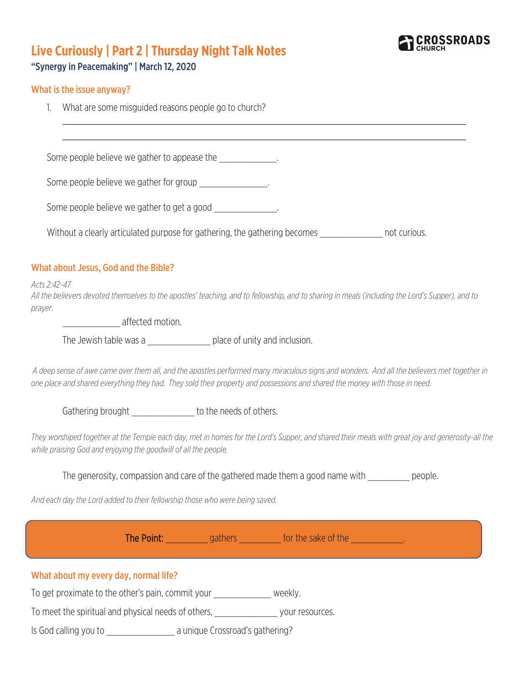

# **Live Curiously | Part 2 | Thursday Night Talk Notes**

## "Synergy in Peacemaking" | March 12, 2020

#### What is the issue anyway?

1. What are some misguided reasons people go to church?

Some people believe we gather to appease the  $\sim$ Some people believe we gather for group \_\_\_\_\_\_\_\_\_\_\_\_\_\_\_. Some people believe we gather to get a good Without a clearly articulated purpose for gathering, the gathering becomes **we construe that in** not curious. What about Jesus, God and the Bible? *Acts 2:42-47 All the believers devoted themselves to the apostles' teaching, and to fellowship, and to sharing in meals (including the Lord's Supper), and to prayer.* \_\_\_\_\_\_\_\_\_\_\_ affected motion. The Jewish table was a \_\_\_\_\_\_\_\_\_\_\_\_\_\_\_\_\_ place of unity and inclusion. *A deep sense of awe came over them all, and the apostles performed many miraculous signs and wonders. And all the believers met together in one place and shared everything they had. They sold their property and possessions and shared the money with those in need.* Gathering brought to the needs of others. *They worshiped together at the Temple each day, met in homes for the Lord's Supper, and shared their meals with great joy and generosity-all the while praising God and enjoying the goodwill of all the people.*  The generosity, compassion and care of the gathered made them a good name with \_\_\_\_\_\_\_\_ people. *And each day the Lord added to their fellowship those who were being saved.* The Point: \_\_\_\_\_\_\_\_\_\_ gathers \_\_\_\_\_\_\_\_\_ for the sake of the \_\_\_\_\_\_\_\_\_\_\_\_. What about my every day, normal life?

To get proximate to the other's pain, commit your veekly.

To meet the spiritual and physical needs of others, when the sources your resources.

Is God calling you to \_\_\_\_\_\_\_\_\_\_\_\_\_ a unique Crossroad's gathering?